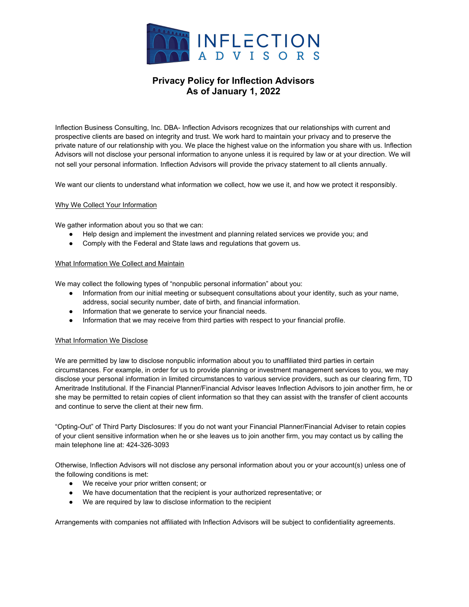

# **Privacy Policy for Inflection Advisors As of January 1, 2022**

Inflection Business Consulting, Inc. DBA- Inflection Advisors recognizes that our relationships with current and prospective clients are based on integrity and trust. We work hard to maintain your privacy and to preserve the private nature of our relationship with you. We place the highest value on the information you share with us. Inflection Advisors will not disclose your personal information to anyone unless it is required by law or at your direction. We will not sell your personal information. Inflection Advisors will provide the privacy statement to all clients annually.

We want our clients to understand what information we collect, how we use it, and how we protect it responsibly.

## Why We Collect Your Information

We gather information about you so that we can:

- Help design and implement the investment and planning related services we provide you; and
- Comply with the Federal and State laws and regulations that govern us.

### What Information We Collect and Maintain

We may collect the following types of "nonpublic personal information" about you:

- Information from our initial meeting or subsequent consultations about your identity, such as your name, address, social security number, date of birth, and financial information.
- Information that we generate to service your financial needs.
- Information that we may receive from third parties with respect to your financial profile.

### What Information We Disclose

We are permitted by law to disclose nonpublic information about you to unaffiliated third parties in certain circumstances. For example, in order for us to provide planning or investment management services to you, we may disclose your personal information in limited circumstances to various service providers, such as our clearing firm, TD Ameritrade Institutional. If the Financial Planner/Financial Advisor leaves Inflection Advisors to join another firm, he or she may be permitted to retain copies of client information so that they can assist with the transfer of client accounts and continue to serve the client at their new firm.

"Opting-Out" of Third Party Disclosures: If you do not want your Financial Planner/Financial Adviser to retain copies of your client sensitive information when he or she leaves us to join another firm, you may contact us by calling the main telephone line at: 424-326-3093

Otherwise, Inflection Advisors will not disclose any personal information about you or your account(s) unless one of the following conditions is met:

- We receive your prior written consent; or
- We have documentation that the recipient is your authorized representative; or
- We are required by law to disclose information to the recipient

Arrangements with companies not affiliated with Inflection Advisors will be subject to confidentiality agreements.